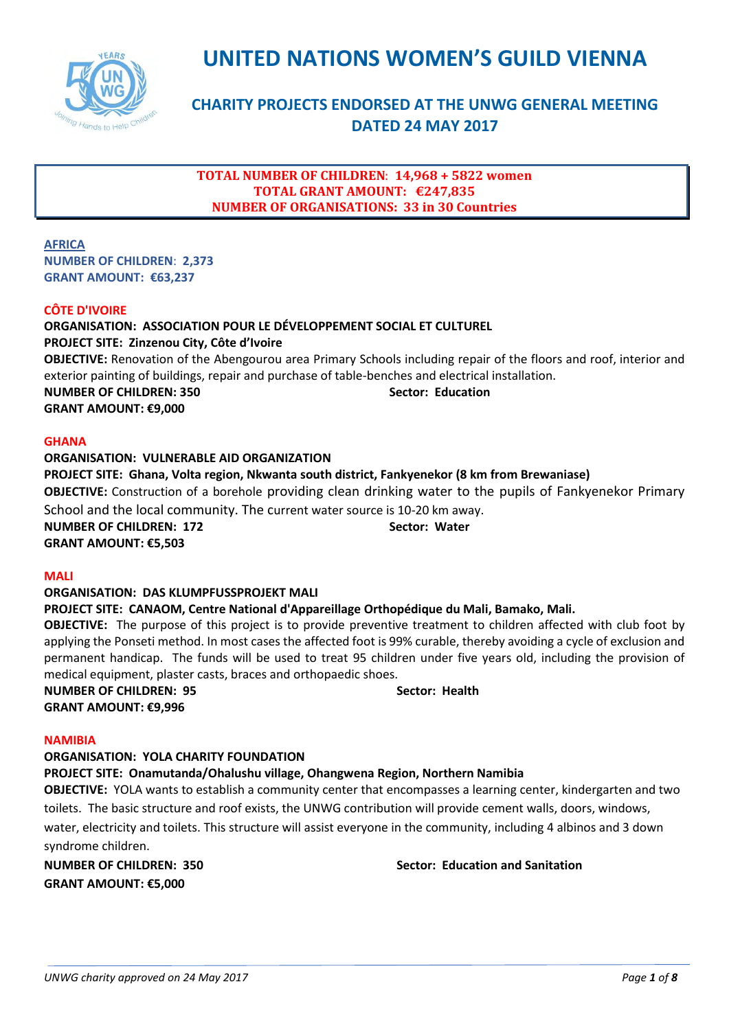

# **UNITED NATIONS WOMEN'S GUILD VIENNA**

# **CHARITY PROJECTS ENDORSED AT THE UNWG GENERAL MEETING DATED 24 MAY 2017**

# **TOTAL NUMBER OF CHILDREN**: **14,968 + 5822 women TOTAL GRANT AMOUNT: €247,835 NUMBER OF ORGANISATIONS: 33 in 30 Countries**

**AFRICA NUMBER OF CHILDREN**: **2,373 GRANT AMOUNT: €63,237**

# **CÔTE D'IVOIRE**

# **ORGANISATION: ASSOCIATION POUR LE DÉVELOPPEMENT SOCIAL ET CULTUREL**

**PROJECT SITE: Zinzenou City, Côte d'Ivoire**

**OBJECTIVE:** Renovation of the Abengourou area Primary Schools including repair of the floors and roof, interior and exterior painting of buildings, repair and purchase of table-benches and electrical installation. **NUMBER OF CHILDREN: 350 Sector: Education** 

**GRANT AMOUNT: €9,000**

### **GHANA**

# **ORGANISATION: VULNERABLE AID ORGANIZATION PROJECT SITE: Ghana, Volta region, Nkwanta south district, Fankyenekor (8 km from Brewaniase) OBJECTIVE:** Construction of a borehole providing clean drinking water to the pupils of Fankyenekor Primary School and the local community. The current water source is 10-20 km away. **NUMBER OF CHILDREN: 172** Sector: Water **GRANT AMOUNT: €5,503**

### **MALI**

# **ORGANISATION: DAS KLUMPFUSSPROJEKT MALI**

### **PROJECT SITE: CANAOM, Centre National d'Appareillage Orthopédique du Mali, Bamako, Mali.**

**OBJECTIVE:** The purpose of this project is to provide preventive treatment to children affected with club foot by applying the Ponseti method. In most cases the affected foot is 99% curable, thereby avoiding a cycle of exclusion and permanent handicap. The funds will be used to treat 95 children under five years old, including the provision of medical equipment, plaster casts, braces and orthopaedic shoes.

**NUMBER OF CHILDREN: 95 Sector: Health GRANT AMOUNT: €9,996**

### **NAMIBIA**

### **ORGANISATION: YOLA CHARITY FOUNDATION**

# **PROJECT SITE: Onamutanda/Ohalushu village, Ohangwena Region, Northern Namibia**

**OBJECTIVE:** YOLA wants to establish a community center that encompasses a learning center, kindergarten and two toilets. The basic structure and roof exists, the UNWG contribution will provide cement walls, doors, windows, water, electricity and toilets. This structure will assist everyone in the community, including 4 albinos and 3 down syndrome children.

**NUMBER OF CHILDREN: 350 Sector: Education and Sanitation**

**GRANT AMOUNT: €5,000**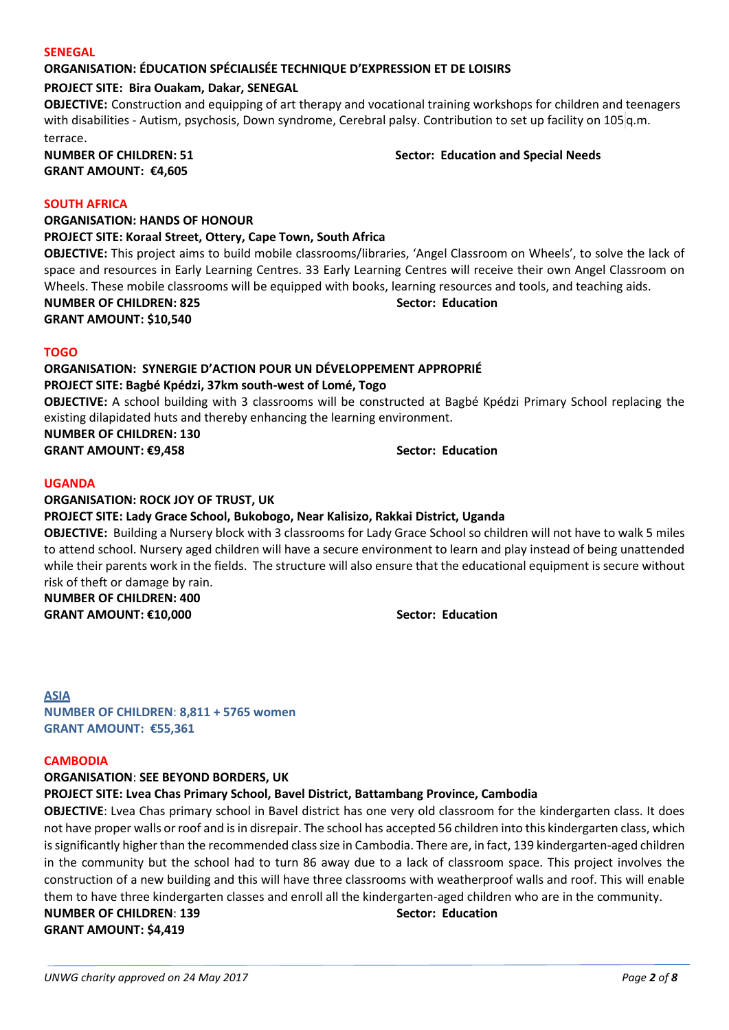### **SENEGAL**

### **ORGANISATION: ÉDUCATION SPÉCIALISÉE TECHNIQUE D'EXPRESSION ET DE LOISIRS**

**PROJECT SITE: Bira Ouakam, Dakar, SENEGAL**

**OBJECTIVE:** Construction and equipping of art therapy and vocational training workshops for children and teenagers with disabilities - Autism, psychosis, Down syndrome, Cerebral palsy. Contribution to set up facility on 105 q.m. terrace.

**GRANT AMOUNT: €4,605**

**NUMBER OF CHILDREN: 51 Sector: Education and Special Needs** 

### **SOUTH AFRICA**

**ORGANISATION: HANDS OF HONOUR**

**PROJECT SITE: Koraal Street, Ottery, Cape Town, South Africa**

**OBJECTIVE:** This project aims to build mobile classrooms/libraries, 'Angel Classroom on Wheels', to solve the lack of space and resources in Early Learning Centres. 33 Early Learning Centres will receive their own Angel Classroom on Wheels. These mobile classrooms will be equipped with books, learning resources and tools, and teaching aids. **NUMBER OF CHILDREN: 825 Sector: Education GRANT AMOUNT: \$10,540**

### **TOGO**

**ORGANISATION: SYNERGIE D'ACTION POUR UN DÉVELOPPEMENT APPROPRIÉ PROJECT SITE: Bagbé Kpédzi, 37km south-west of Lomé, Togo OBJECTIVE:** A school building with 3 classrooms will be constructed at Bagbé Kpédzi Primary School replacing the existing dilapidated huts and thereby enhancing the learning environment. **NUMBER OF CHILDREN: 130 GRANT AMOUNT: €9,458 Sector: Education**

### **UGANDA**

**ORGANISATION: ROCK JOY OF TRUST, UK PROJECT SITE: Lady Grace School, Bukobogo, Near Kalisizo, Rakkai District, Uganda OBJECTIVE:** Building a Nursery block with 3 classrooms for Lady Grace School so children will not have to walk 5 miles to attend school. Nursery aged children will have a secure environment to learn and play instead of being unattended while their parents work in the fields. The structure will also ensure that the educational equipment is secure without risk of theft or damage by rain. **NUMBER OF CHILDREN: 400 GRANT AMOUNT: €10,000 Sector: Education**

**ASIA NUMBER OF CHILDREN**: **8,811 + 5765 women GRANT AMOUNT: €55,361**

### **CAMBODIA**

**ORGANISATION**: **SEE BEYOND BORDERS, UK**

**PROJECT SITE: Lvea Chas Primary School, Bavel District, Battambang Province, Cambodia**

**OBJECTIVE**: Lvea Chas primary school in Bavel district has one very old classroom for the kindergarten class. It does not have proper walls or roof and is in disrepair. The school has accepted 56 children into this kindergarten class, which is significantly higher than the recommended class size in Cambodia. There are, in fact, 139 kindergarten-aged children in the community but the school had to turn 86 away due to a lack of classroom space. This project involves the construction of a new building and this will have three classrooms with weatherproof walls and roof. This will enable them to have three kindergarten classes and enroll all the kindergarten-aged children who are in the community.

### **NUMBER OF CHILDREN**: **139 Sector: Education GRANT AMOUNT: \$4,419**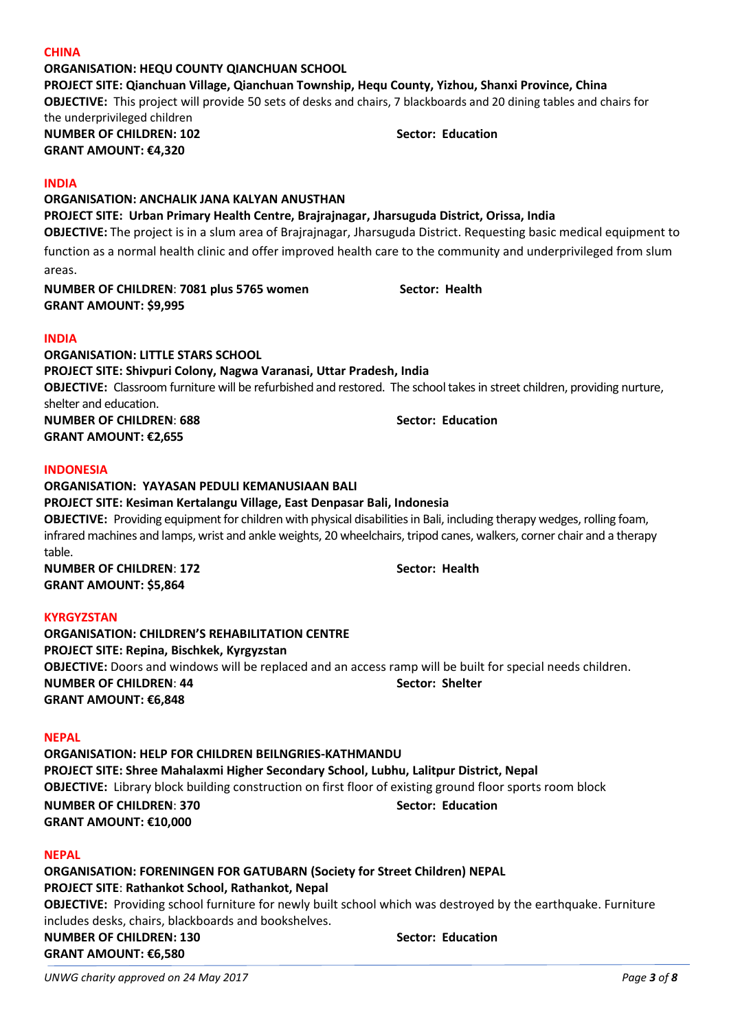# **PROJECT SITE: Qianchuan Village, Qianchuan Township, Hequ County, Yizhou, Shanxi Province, China OBJECTIVE:** This project will provide 50 sets of desks and chairs, 7 blackboards and 20 dining tables and chairs for the underprivileged children

**NUMBER OF CHILDREN: 102 Sector: Education GRANT AMOUNT: €4,320**

# **INDIA**

**CHINA** 

**ORGANISATION: ANCHALIK JANA KALYAN ANUSTHAN PROJECT SITE: Urban Primary Health Centre, Brajrajnagar, Jharsuguda District, Orissa, India OBJECTIVE:** The project is in a slum area of Brajrajnagar, Jharsuguda District. Requesting basic medical equipment to function as a normal health clinic and offer improved health care to the community and underprivileged from slum areas.

**NUMBER OF CHILDREN**: **7081 plus 5765 women Sector: Health GRANT AMOUNT: \$9,995**

# **INDIA**

**ORGANISATION: LITTLE STARS SCHOOL PROJECT SITE: Shivpuri Colony, Nagwa Varanasi, Uttar Pradesh, India OBJECTIVE:** Classroom furniture will be refurbished and restored. The school takes in street children, providing nurture, shelter and education. **NUMBER OF CHILDREN: 688 Sector: Education GRANT AMOUNT: €2,655**

# **INDONESIA**

# **ORGANISATION: YAYASAN PEDULI KEMANUSIAAN BALI PROJECT SITE: Kesiman Kertalangu Village, East Denpasar Bali, Indonesia OBJECTIVE:** Providing equipment for children with physical disabilities in Bali, including therapy wedges, rolling foam, infrared machines and lamps, wrist and ankle weights, 20 wheelchairs, tripod canes, walkers, corner chair and a therapy

table. **NUMBER OF CHILDREN: 172 Sector: Health GRANT AMOUNT: \$5,864**

# **KYRGYZSTAN**

**ORGANISATION: CHILDREN'S REHABILITATION CENTRE PROJECT SITE: Repina, Bischkek, Kyrgyzstan OBJECTIVE:** Doors and windows will be replaced and an access ramp will be built for special needs children. **NUMBER OF CHILDREN**: **44 Sector: Shelter GRANT AMOUNT: €6,848**

# **NEPAL**

**ORGANISATION: HELP FOR CHILDREN BEILNGRIES-KATHMANDU PROJECT SITE: Shree Mahalaxmi Higher Secondary School, Lubhu, Lalitpur District, Nepal OBJECTIVE:** Library block building construction on first floor of existing ground floor sports room block **NUMBER OF CHILDREN: 370 Sector: Education GRANT AMOUNT: €10,000**

# **NEPAL**

**ORGANISATION: FORENINGEN FOR GATUBARN (Society for Street Children) NEPAL PROJECT SITE**: **Rathankot School, Rathankot, Nepal OBJECTIVE:** Providing school furniture for newly built school which was destroyed by the earthquake. Furniture includes desks, chairs, blackboards and bookshelves. **NUMBER OF CHILDREN: 130 Sector: Education GRANT AMOUNT: €6,580**

**ORGANISATION: HEQU COUNTY QIANCHUAN SCHOOL**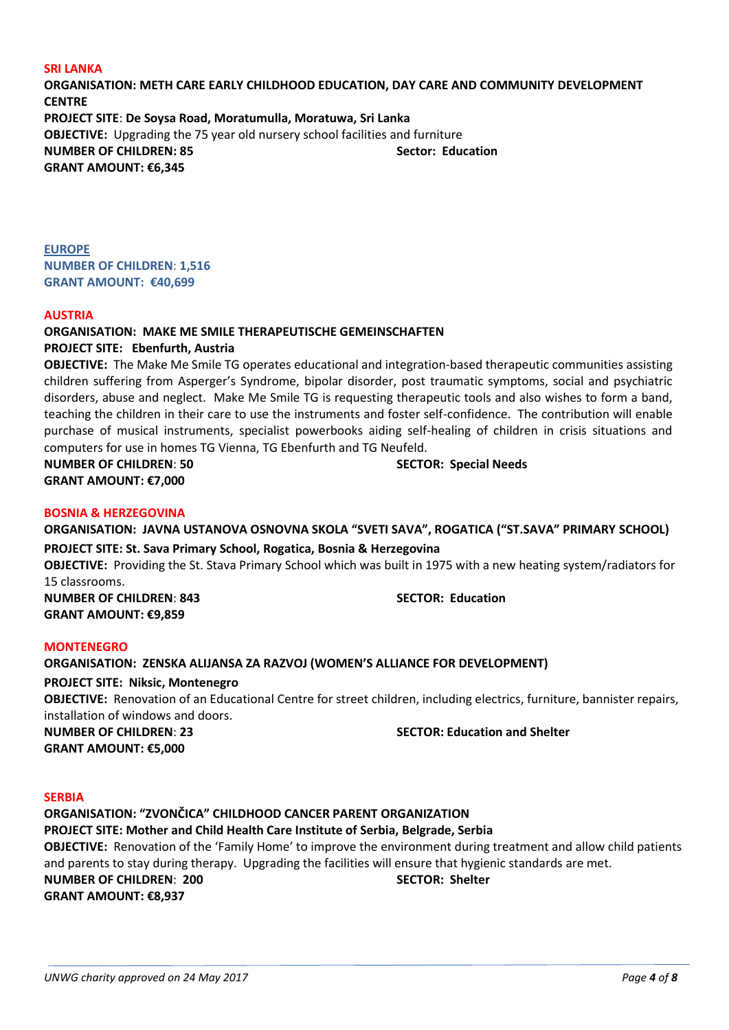### **SRI LANKA**

**ORGANISATION: METH CARE EARLY CHILDHOOD EDUCATION, DAY CARE AND COMMUNITY DEVELOPMENT CENTRE PROJECT SITE**: **De Soysa Road, Moratumulla, Moratuwa, Sri Lanka OBJECTIVE:** Upgrading the 75 year old nursery school facilities and furniture **NUMBER OF CHILDREN: 85 Sector: Education GRANT AMOUNT: €6,345**

**EUROPE NUMBER OF CHILDREN**: **1,516 GRANT AMOUNT: €40,699**

### **AUSTRIA**

# **ORGANISATION: MAKE ME SMILE THERAPEUTISCHE GEMEINSCHAFTEN**

**PROJECT SITE: Ebenfurth, Austria**

**OBJECTIVE:** The Make Me Smile TG operates educational and integration-based therapeutic communities assisting children suffering from Asperger's Syndrome, bipolar disorder, post traumatic symptoms, social and psychiatric disorders, abuse and neglect. Make Me Smile TG is requesting therapeutic tools and also wishes to form a band, teaching the children in their care to use the instruments and foster self-confidence. The contribution will enable purchase of musical instruments, specialist powerbooks aiding self-healing of children in crisis situations and computers for use in homes TG Vienna, TG Ebenfurth and TG Neufeld.

**NUMBER OF CHILDREN**: **50 SECTOR: Special Needs GRANT AMOUNT: €7,000**

### **BOSNIA & HERZEGOVINA**

**ORGANISATION: JAVNA USTANOVA OSNOVNA SKOLA "SVETI SAVA", ROGATICA ("ST.SAVA" PRIMARY SCHOOL) PROJECT SITE: St. Sava Primary School, Rogatica, Bosnia & Herzegovina OBJECTIVE:** Providing the St. Stava Primary School which was built in 1975 with a new heating system/radiators for 15 classrooms. **NUMBER OF CHILDREN**: **843 SECTOR: Education GRANT AMOUNT: €9,859**

**MONTENEGRO**

### **ORGANISATION: ZENSKA ALIJANSA ZA RAZVOJ (WOMEN'S ALLIANCE FOR DEVELOPMENT)**

**PROJECT SITE: Niksic, Montenegro**

**OBJECTIVE:** Renovation of an Educational Centre for street children, including electrics, furniture, bannister repairs, installation of windows and doors.

**GRANT AMOUNT: €5,000**

**NUMBER OF CHILDREN**: **23 SECTOR: Education and Shelter**

### **SERBIA**

**ORGANISATION: "ZVONČICA" CHILDHOOD CANCER PARENT ORGANIZATION**

### **PROJECT SITE: Mother and Child Health Care Institute of Serbia, Belgrade, Serbia**

**OBJECTIVE:** Renovation of the 'Family Home' to improve the environment during treatment and allow child patients and parents to stay during therapy. Upgrading the facilities will ensure that hygienic standards are met. **NUMBER OF CHILDREN**: **200 SECTOR: Shelter GRANT AMOUNT: €8,937**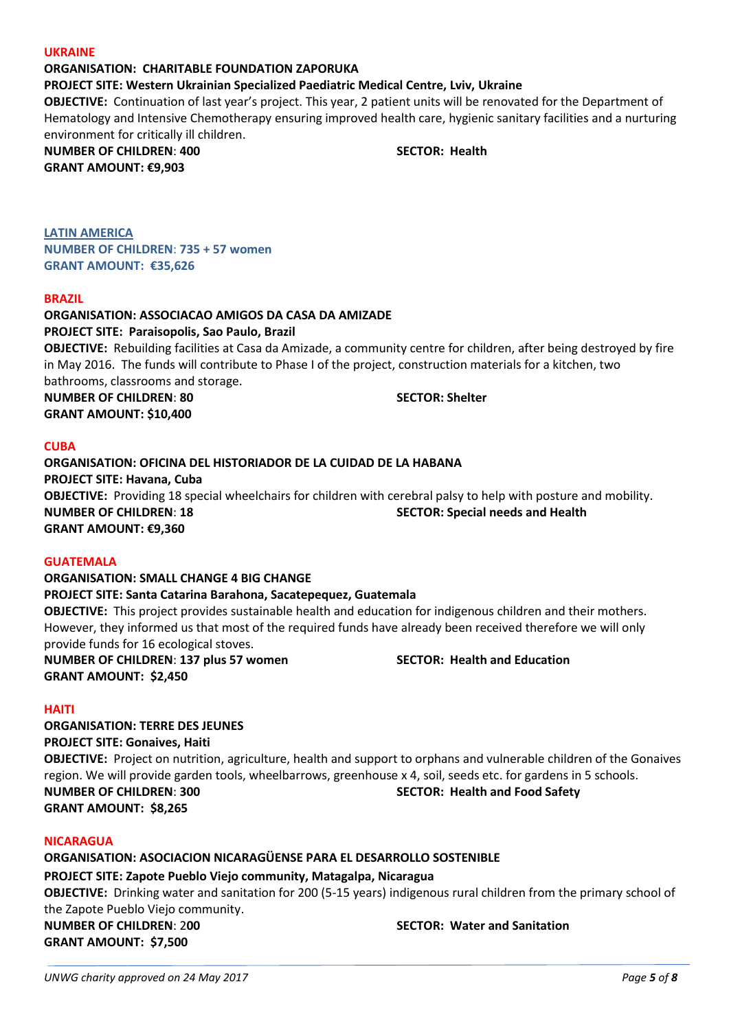### **UKRAINE**

# **ORGANISATION: CHARITABLE FOUNDATION ZAPORUKA**

**PROJECT SITE: Western Ukrainian Specialized Paediatric Medical Centre, Lviv, Ukraine**

**OBJECTIVE:** Continuation of last year's project. This year, 2 patient units will be renovated for the Department of Hematology and Intensive Chemotherapy ensuring improved health care, hygienic sanitary facilities and a nurturing environment for critically ill children.

**NUMBER OF CHILDREN**: **400 SECTOR: Health GRANT AMOUNT: €9,903**

**LATIN AMERICA NUMBER OF CHILDREN**: **735 + 57 women GRANT AMOUNT: €35,626**

### **BRAZIL**

# **ORGANISATION: ASSOCIACAO AMIGOS DA CASA DA AMIZADE PROJECT SITE: Paraisopolis, Sao Paulo, Brazil OBJECTIVE:** Rebuilding facilities at Casa da Amizade, a community centre for children, after being destroyed by fire in May 2016. The funds will contribute to Phase I of the project, construction materials for a kitchen, two bathrooms, classrooms and storage. **NUMBER OF CHILDREN**: **80 SECTOR: Shelter**

**GRANT AMOUNT: \$10,400**

### **CUBA**

**ORGANISATION: OFICINA DEL HISTORIADOR DE LA CUIDAD DE LA HABANA PROJECT SITE: Havana, Cuba OBJECTIVE:** Providing 18 special wheelchairs for children with cerebral palsy to help with posture and mobility. **NUMBER OF CHILDREN**: **18 SECTOR: Special needs and Health GRANT AMOUNT: €9,360**

### **GUATEMALA**

# **ORGANISATION: SMALL CHANGE 4 BIG CHANGE PROJECT SITE: Santa Catarina Barahona, Sacatepequez, Guatemala OBJECTIVE:** This project provides sustainable health and education for indigenous children and their mothers. However, they informed us that most of the required funds have already been received therefore we will only provide funds for 16 ecological stoves. **NUMBER OF CHILDREN**: **137 plus 57 women SECTOR: Health and Education**

**GRANT AMOUNT: \$2,450**

# **HAITI**

**ORGANISATION: TERRE DES JEUNES PROJECT SITE: Gonaives, Haiti OBJECTIVE:** Project on nutrition, agriculture, health and support to orphans and vulnerable children of the Gonaives region. We will provide garden tools, wheelbarrows, greenhouse x 4, soil, seeds etc. for gardens in 5 schools. **NUMBER OF CHILDREN**: **300 SECTOR: Health and Food Safety GRANT AMOUNT: \$8,265**

### **NICARAGUA**

**ORGANISATION: ASOCIACION NICARAGÜENSE PARA EL DESARROLLO SOSTENIBLE PROJECT SITE: Zapote Pueblo Viejo community, Matagalpa, Nicaragua OBJECTIVE:** Drinking water and sanitation for 200 (5-15 years) indigenous rural children from the primary school of the Zapote Pueblo Viejo community. **NUMBER OF CHILDREN**: 2**00 SECTOR: Water and Sanitation GRANT AMOUNT: \$7,500**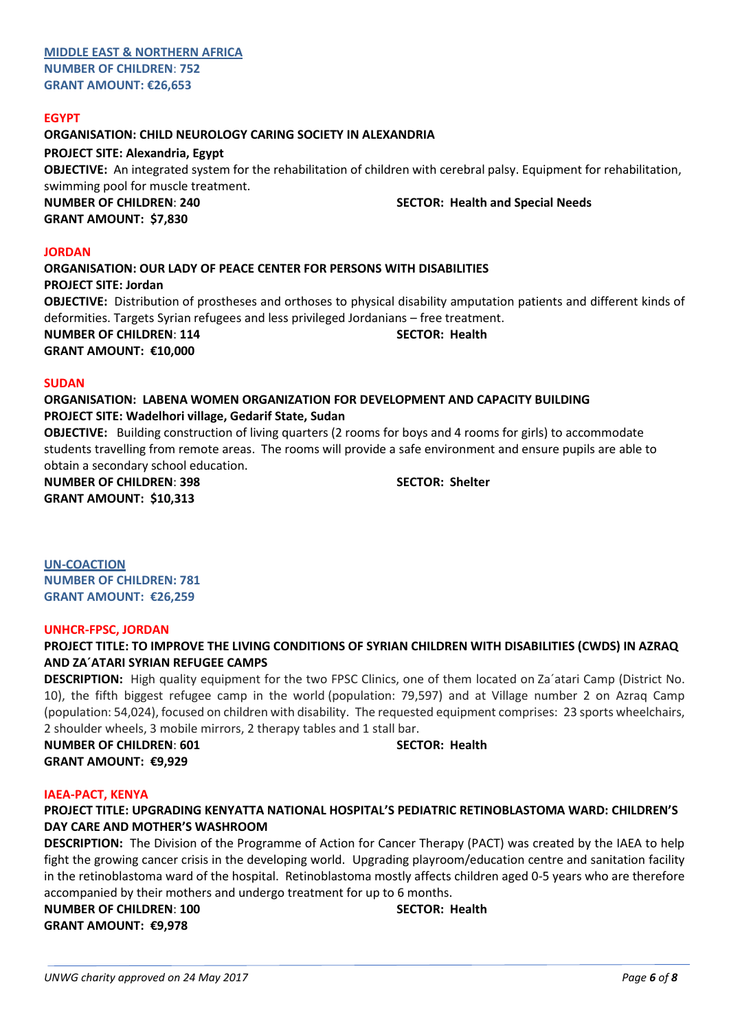# **EGYPT**

**ORGANISATION: CHILD NEUROLOGY CARING SOCIETY IN ALEXANDRIA**

# **PROJECT SITE: Alexandria, Egypt**

**OBJECTIVE:** An integrated system for the rehabilitation of children with cerebral palsy. Equipment for rehabilitation, swimming pool for muscle treatment.

**GRANT AMOUNT: \$7,830**

**NUMBER OF CHILDREN**: **240 SECTOR: Health and Special Needs**

### **JORDAN**

**ORGANISATION: OUR LADY OF PEACE CENTER FOR PERSONS WITH DISABILITIES PROJECT SITE: Jordan OBJECTIVE:** Distribution of prostheses and orthoses to physical disability amputation patients and different kinds of deformities. Targets Syrian refugees and less privileged Jordanians – free treatment. **NUMBER OF CHILDREN**: **114 SECTOR: Health GRANT AMOUNT: €10,000**

### **SUDAN**

**ORGANISATION: LABENA WOMEN ORGANIZATION FOR DEVELOPMENT AND CAPACITY BUILDING PROJECT SITE: Wadelhori village, Gedarif State, Sudan**

**OBJECTIVE:** Building construction of living quarters (2 rooms for boys and 4 rooms for girls) to accommodate students travelling from remote areas. The rooms will provide a safe environment and ensure pupils are able to obtain a secondary school education.

**NUMBER OF CHILDREN**: **398 SECTOR: Shelter GRANT AMOUNT: \$10,313**

**UN-COACTION NUMBER OF CHILDREN: 781 GRANT AMOUNT: €26,259**

### **UNHCR-FPSC, JORDAN**

**PROJECT TITLE: TO IMPROVE THE LIVING CONDITIONS OF SYRIAN CHILDREN WITH DISABILITIES (CWDS) IN AZRAQ AND ZA´ATARI SYRIAN REFUGEE CAMPS**

**DESCRIPTION:** High quality equipment for the two FPSC Clinics, one of them located on Za´atari Camp (District No. 10), the fifth biggest refugee camp in the world (population: 79,597) and at Village number 2 on Azraq Camp (population: 54,024), focused on children with disability. The requested equipment comprises: 23 sports wheelchairs, 2 shoulder wheels, 3 mobile mirrors, 2 therapy tables and 1 stall bar.

**NUMBER OF CHILDREN**: **601 SECTOR: Health GRANT AMOUNT: €9,929**

### **IAEA-PACT, KENYA**

# **PROJECT TITLE: UPGRADING KENYATTA NATIONAL HOSPITAL'S PEDIATRIC RETINOBLASTOMA WARD: CHILDREN'S DAY CARE AND MOTHER'S WASHROOM**

**DESCRIPTION:** The Division of the Programme of Action for Cancer Therapy (PACT) was created by the IAEA to help fight the growing cancer crisis in the developing world. Upgrading playroom/education centre and sanitation facility in the retinoblastoma ward of the hospital. Retinoblastoma mostly affects children aged 0-5 years who are therefore accompanied by their mothers and undergo treatment for up to 6 months.

**NUMBER OF CHILDREN**: **100 SECTOR: Health GRANT AMOUNT: €9,978**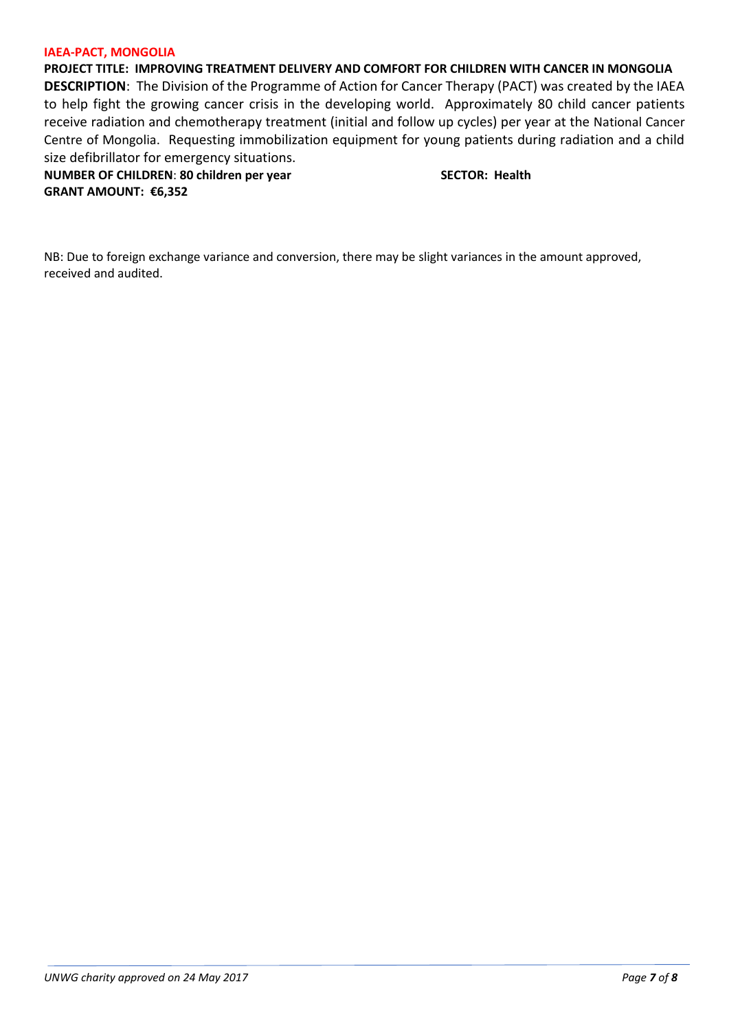### **IAEA-PACT, MONGOLIA**

**PROJECT TITLE: IMPROVING TREATMENT DELIVERY AND COMFORT FOR CHILDREN WITH CANCER IN MONGOLIA DESCRIPTION**: The Division of the Programme of Action for Cancer Therapy (PACT) was created by the IAEA to help fight the growing cancer crisis in the developing world. Approximately 80 child cancer patients receive radiation and chemotherapy treatment (initial and follow up cycles) per year at the National Cancer Centre of Mongolia. Requesting immobilization equipment for young patients during radiation and a child size defibrillator for emergency situations.

**NUMBER OF CHILDREN: 80 children per year SECTOR: Health GRANT AMOUNT: €6,352**

NB: Due to foreign exchange variance and conversion, there may be slight variances in the amount approved, received and audited.